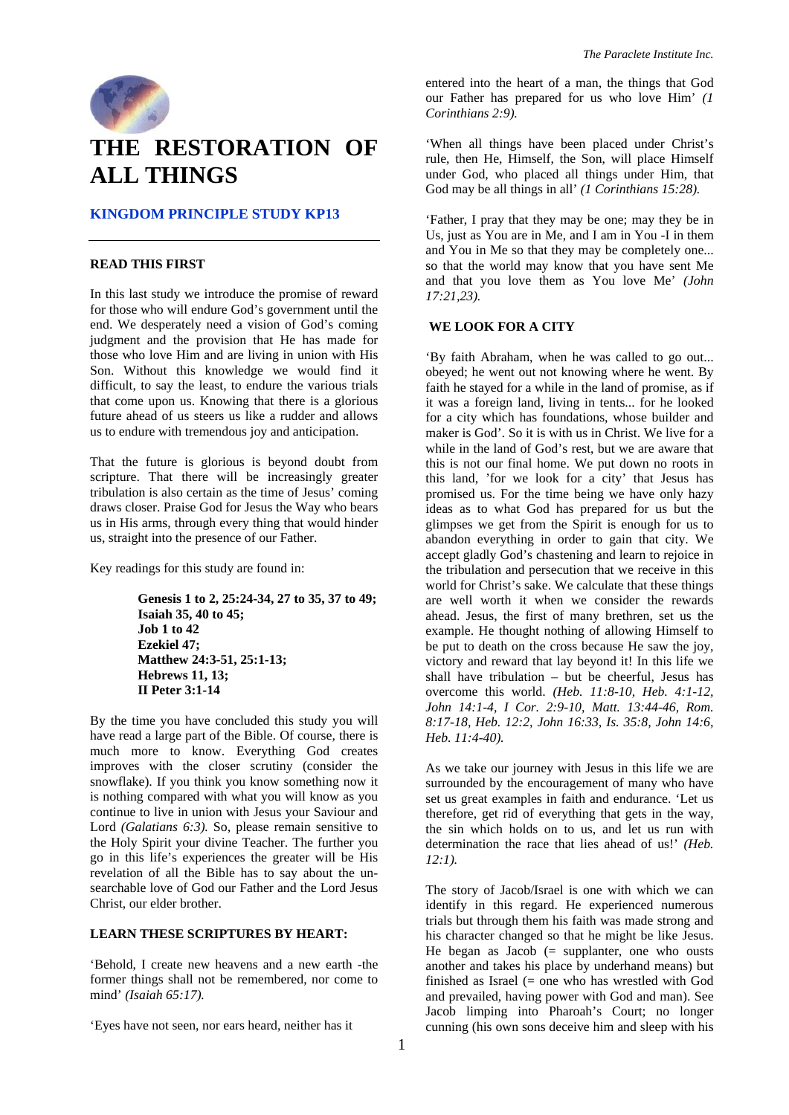

# **THE RESTORATION OF ALL THINGS**

## **KINGDOM PRINCIPLE STUDY KP13**

#### **READ THIS FIRST**

In this last study we introduce the promise of reward for those who will endure God's government until the end. We desperately need a vision of God's coming judgment and the provision that He has made for those who love Him and are living in union with His Son. Without this knowledge we would find it difficult, to say the least, to endure the various trials that come upon us. Knowing that there is a glorious future ahead of us steers us like a rudder and allows us to endure with tremendous joy and anticipation.

That the future is glorious is beyond doubt from scripture. That there will be increasingly greater tribulation is also certain as the time of Jesus' coming draws closer. Praise God for Jesus the Way who bears us in His arms, through every thing that would hinder us, straight into the presence of our Father.

Key readings for this study are found in:

**Genesis 1 to 2, 25:24-34, 27 to 35, 37 to 49; Isaiah 35, 40 to 45; Job 1 to 42 Ezekiel 47; Matthew 24:3-51, 25:1-13; Hebrews 11, 13; II Peter 3:1-14** 

By the time you have concluded this study you will have read a large part of the Bible. Of course, there is much more to know. Everything God creates improves with the closer scrutiny (consider the snowflake). If you think you know something now it is nothing compared with what you will know as you continue to live in union with Jesus your Saviour and Lord *(Galatians 6:3)*. So, please remain sensitive to the Holy Spirit your divine Teacher. The further you go in this life's experiences the greater will be His revelation of all the Bible has to say about the unsearchable love of God our Father and the Lord Jesus Christ, our elder brother.

## **LEARN THESE SCRIPTURES BY HEART:**

'Behold, I create new heavens and a new earth -the former things shall not be remembered, nor come to mind' *(Isaiah 65:17).* 

entered into the heart of a man, the things that God our Father has prepared for us who love Him' *(1 Corinthians 2:9).* 

'When all things have been placed under Christ's rule, then He, Himself, the Son, will place Himself under God, who placed all things under Him, that God may be all things in all' *(1 Corinthians 15:28).* 

'Father, I pray that they may be one; may they be in Us, just as You are in Me, and I am in You -I in them and You in Me so that they may be completely one... so that the world may know that you have sent Me and that you love them as You love Me' *(John 17:21,23).* 

#### **WE LOOK FOR A CITY**

'By faith Abraham, when he was called to go out... obeyed; he went out not knowing where he went. By faith he stayed for a while in the land of promise, as if it was a foreign land, living in tents... for he looked for a city which has foundations, whose builder and maker is God'. So it is with us in Christ. We live for a while in the land of God's rest, but we are aware that this is not our final home. We put down no roots in this land, 'for we look for a city' that Jesus has promised us. For the time being we have only hazy ideas as to what God has prepared for us but the glimpses we get from the Spirit is enough for us to abandon everything in order to gain that city. We accept gladly God's chastening and learn to rejoice in the tribulation and persecution that we receive in this world for Christ's sake. We calculate that these things are well worth it when we consider the rewards ahead. Jesus, the first of many brethren, set us the example. He thought nothing of allowing Himself to be put to death on the cross because He saw the joy, victory and reward that lay beyond it! In this life we shall have tribulation – but be cheerful, Jesus has overcome this world. *(Heb. 11:8-10, Heb. 4:1-12, John 14:1-4, I Cor. 2:9-10, Matt. 13:44-46, Rom. 8:17-18, Heb. 12:2, John 16:33, Is. 35:8, John 14:6, Heb. 11:4-40).* 

As we take our journey with Jesus in this life we are surrounded by the encouragement of many who have set us great examples in faith and endurance. 'Let us therefore, get rid of everything that gets in the way, the sin which holds on to us, and let us run with determination the race that lies ahead of us!' *(Heb. 12:1).* 

The story of Jacob/Israel is one with which we can identify in this regard. He experienced numerous trials but through them his faith was made strong and his character changed so that he might be like Jesus. He began as Jacob  $(=$  supplanter, one who ousts another and takes his place by underhand means) but finished as Israel  $(=$  one who has wrestled with God and prevailed, having power with God and man). See Jacob limping into Pharoah's Court; no longer cunning (his own sons deceive him and sleep with his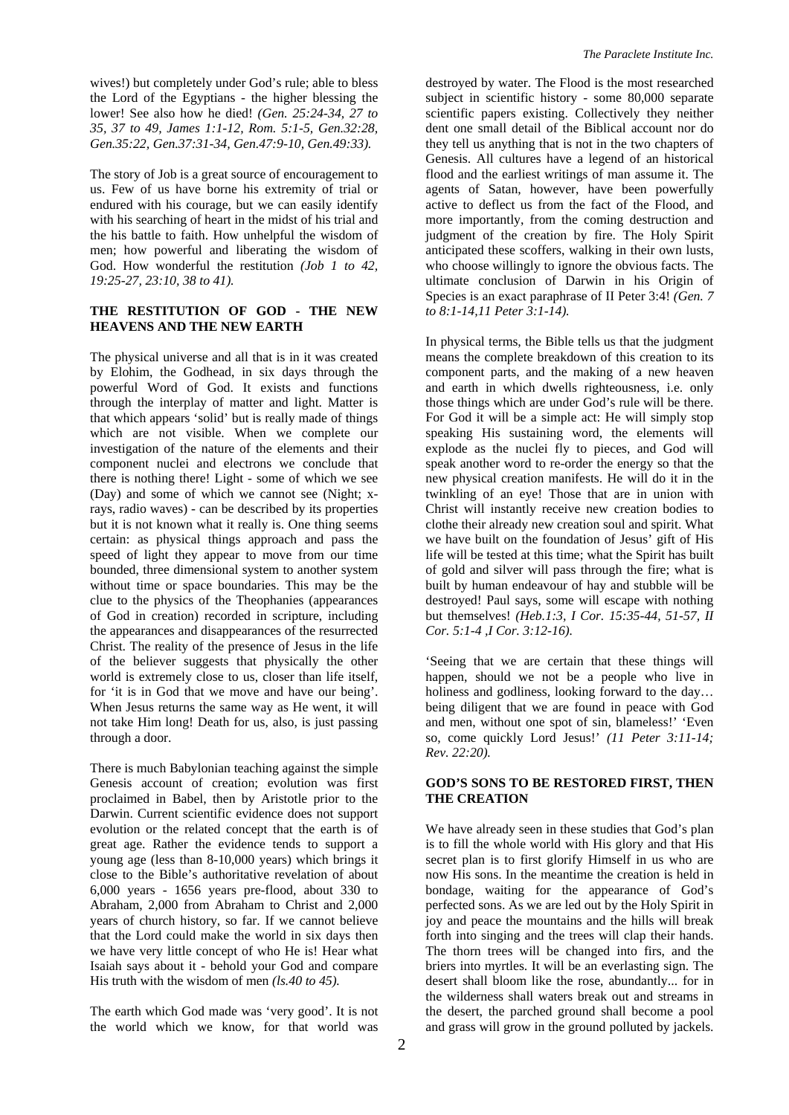wives!) but completely under God's rule; able to bless the Lord of the Egyptians - the higher blessing the lower! See also how he died! *(Gen. 25:24-34, 27 to 35, 37 to 49, James 1:1-12, Rom. 5:1-5, Gen.32:28, Gen.35:22, Gen.37:31-34, Gen.47:9-10, Gen.49:33).* 

The story of Job is a great source of encouragement to us. Few of us have borne his extremity of trial or endured with his courage, but we can easily identify with his searching of heart in the midst of his trial and the his battle to faith. How unhelpful the wisdom of men; how powerful and liberating the wisdom of God. How wonderful the restitution *(Job 1 to 42, 19:25-27, 23:10, 38 to 41).* 

## **THE RESTITUTION OF GOD - THE NEW HEAVENS AND THE NEW EARTH**

The physical universe and all that is in it was created by Elohim, the Godhead, in six days through the powerful Word of God. It exists and functions through the interplay of matter and light. Matter is that which appears 'solid' but is really made of things which are not visible. When we complete our investigation of the nature of the elements and their component nuclei and electrons we conclude that there is nothing there! Light - some of which we see (Day) and some of which we cannot see (Night; xrays, radio waves) - can be described by its properties but it is not known what it really is. One thing seems certain: as physical things approach and pass the speed of light they appear to move from our time bounded, three dimensional system to another system without time or space boundaries. This may be the clue to the physics of the Theophanies (appearances of God in creation) recorded in scripture, including the appearances and disappearances of the resurrected Christ. The reality of the presence of Jesus in the life of the believer suggests that physically the other world is extremely close to us, closer than life itself, for 'it is in God that we move and have our being'. When Jesus returns the same way as He went, it will not take Him long! Death for us, also, is just passing through a door.

There is much Babylonian teaching against the simple Genesis account of creation; evolution was first proclaimed in Babel, then by Aristotle prior to the Darwin. Current scientific evidence does not support evolution or the related concept that the earth is of great age. Rather the evidence tends to support a young age (less than 8-10,000 years) which brings it close to the Bible's authoritative revelation of about 6,000 years - 1656 years pre-flood, about 330 to Abraham, 2,000 from Abraham to Christ and 2,000 years of church history, so far. If we cannot believe that the Lord could make the world in six days then we have very little concept of who He is! Hear what Isaiah says about it - behold your God and compare His truth with the wisdom of men *(ls.40 to 45).*

The earth which God made was 'very good'. It is not the world which we know, for that world was

destroyed by water. The Flood is the most researched subject in scientific history - some 80,000 separate scientific papers existing. Collectively they neither dent one small detail of the Biblical account nor do they tell us anything that is not in the two chapters of Genesis. All cultures have a legend of an historical flood and the earliest writings of man assume it. The agents of Satan, however, have been powerfully active to deflect us from the fact of the Flood, and more importantly, from the coming destruction and judgment of the creation by fire. The Holy Spirit anticipated these scoffers, walking in their own lusts, who choose willingly to ignore the obvious facts. The ultimate conclusion of Darwin in his Origin of Species is an exact paraphrase of II Peter 3:4! *(Gen. 7 to 8:1-14,11 Peter 3:1-14).* 

In physical terms, the Bible tells us that the judgment means the complete breakdown of this creation to its component parts, and the making of a new heaven and earth in which dwells righteousness, i.e. only those things which are under God's rule will be there. For God it will be a simple act: He will simply stop speaking His sustaining word, the elements will explode as the nuclei fly to pieces, and God will speak another word to re-order the energy so that the new physical creation manifests. He will do it in the twinkling of an eye! Those that are in union with Christ will instantly receive new creation bodies to clothe their already new creation soul and spirit. What we have built on the foundation of Jesus' gift of His life will be tested at this time; what the Spirit has built of gold and silver will pass through the fire; what is built by human endeavour of hay and stubble will be destroyed! Paul says, some will escape with nothing but themselves! *(Heb.1:3, I Cor. 15:35-44, 51-57, II Cor. 5:1-4 ,I Cor. 3:12-16).*

'Seeing that we are certain that these things will happen, should we not be a people who live in holiness and godliness, looking forward to the day... being diligent that we are found in peace with God and men, without one spot of sin, blameless!' 'Even so, come quickly Lord Jesus!' *(11 Peter 3:11-14; Rev. 22:20).* 

## **GOD'S SONS TO BE RESTORED FIRST, THEN THE CREATION**

We have already seen in these studies that God's plan is to fill the whole world with His glory and that His secret plan is to first glorify Himself in us who are now His sons. In the meantime the creation is held in bondage, waiting for the appearance of God's perfected sons. As we are led out by the Holy Spirit in joy and peace the mountains and the hills will break forth into singing and the trees will clap their hands. The thorn trees will be changed into firs, and the briers into myrtles. It will be an everlasting sign. The desert shall bloom like the rose, abundantly... for in the wilderness shall waters break out and streams in the desert, the parched ground shall become a pool and grass will grow in the ground polluted by jackels.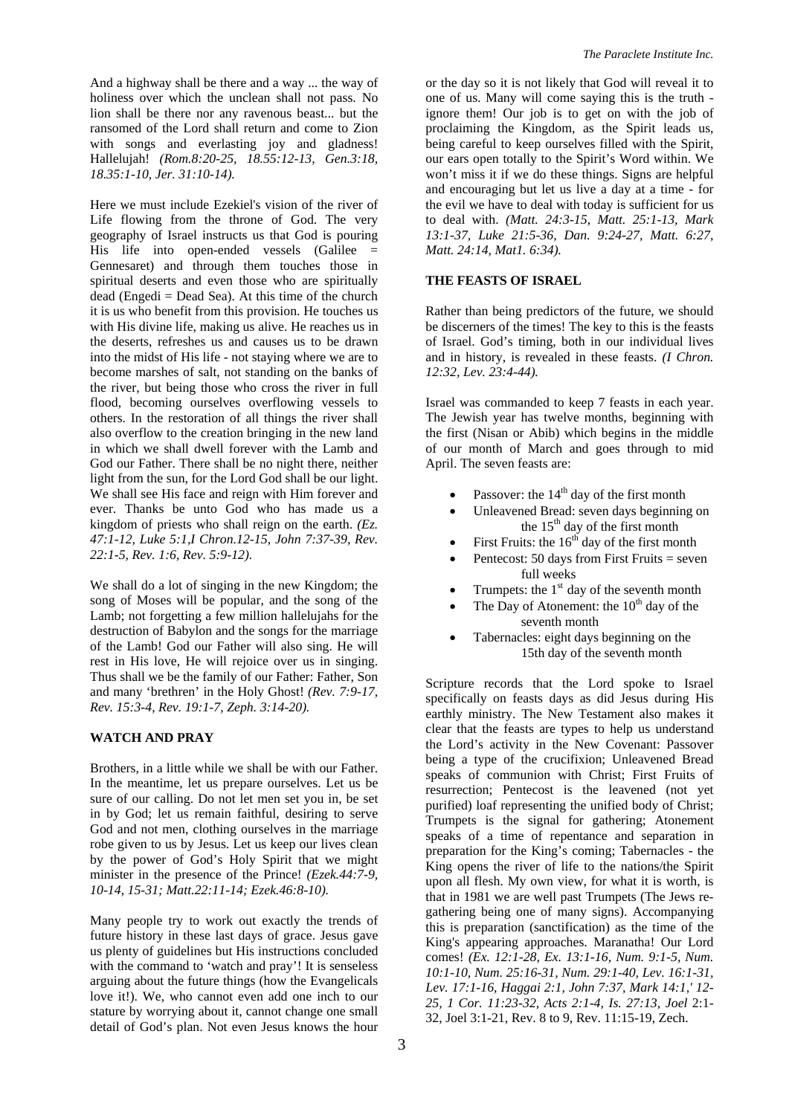And a highway shall be there and a way ... the way of holiness over which the unclean shall not pass. No lion shall be there nor any ravenous beast... but the ransomed of the Lord shall return and come to Zion with songs and everlasting joy and gladness! Hallelujah! *(Rom.8:20-25, 18.55:12-13, Gen.3:18, 18.35:1-10, Jer. 31:10-14).* 

Here we must include Ezekiel's vision of the river of Life flowing from the throne of God. The very geography of Israel instructs us that God is pouring His life into open-ended vessels (Galilee = Gennesaret) and through them touches those in spiritual deserts and even those who are spiritually dead (Engedi = Dead Sea). At this time of the church it is us who benefit from this provision. He touches us with His divine life, making us alive. He reaches us in the deserts, refreshes us and causes us to be drawn into the midst of His life - not staying where we are to become marshes of salt, not standing on the banks of the river, but being those who cross the river in full flood, becoming ourselves overflowing vessels to others. In the restoration of all things the river shall also overflow to the creation bringing in the new land in which we shall dwell forever with the Lamb and God our Father. There shall be no night there, neither light from the sun, for the Lord God shall be our light. We shall see His face and reign with Him forever and ever. Thanks be unto God who has made us a kingdom of priests who shall reign on the earth. *(Ez. 47:1-12, Luke 5:1,I Chron.12-15, John 7:37-39, Rev. 22:1-5, Rev. 1:6, Rev. 5:9-12).* 

We shall do a lot of singing in the new Kingdom; the song of Moses will be popular, and the song of the Lamb; not forgetting a few million hallelujahs for the destruction of Babylon and the songs for the marriage of the Lamb! God our Father will also sing. He will rest in His love, He will rejoice over us in singing. Thus shall we be the family of our Father: Father, Son and many 'brethren' in the Holy Ghost! *(Rev. 7:9-17, Rev. 15:3-4, Rev. 19:1-7, Zeph. 3:14-20).*

#### **WATCH AND PRAY**

Brothers, in a little while we shall be with our Father. In the meantime, let us prepare ourselves. Let us be sure of our calling. Do not let men set you in, be set in by God; let us remain faithful, desiring to serve God and not men, clothing ourselves in the marriage robe given to us by Jesus. Let us keep our lives clean by the power of God's Holy Spirit that we might minister in the presence of the Prince! *(Ezek.44:7-9, 10-14, 15-31; Matt.22:11-14; Ezek.46:8-10).*

Many people try to work out exactly the trends of future history in these last days of grace. Jesus gave us plenty of guidelines but His instructions concluded with the command to 'watch and pray'! It is senseless arguing about the future things (how the Evangelicals love it!). We, who cannot even add one inch to our stature by worrying about it, cannot change one small detail of God's plan. Not even Jesus knows the hour or the day so it is not likely that God will reveal it to one of us. Many will come saying this is the truth ignore them! Our job is to get on with the job of proclaiming the Kingdom, as the Spirit leads us, being careful to keep ourselves filled with the Spirit, our ears open totally to the Spirit's Word within. We won't miss it if we do these things. Signs are helpful and encouraging but let us live a day at a time - for the evil we have to deal with today is sufficient for us to deal with. *(Matt. 24:3-15, Matt. 25:1-13, Mark 13:1-37, Luke 21:5-36, Dan. 9:24-27, Matt. 6:27, Matt. 24:14, Mat1. 6:34).* 

#### **THE FEASTS OF ISRAEL**

Rather than being predictors of the future, we should be discerners of the times! The key to this is the feasts of Israel. God's timing, both in our individual lives and in history, is revealed in these feasts. *(I Chron. 12:32, Lev. 23:4-44).*

Israel was commanded to keep 7 feasts in each year. The Jewish year has twelve months, beginning with the first (Nisan or Abib) which begins in the middle of our month of March and goes through to mid April. The seven feasts are:

- Passover: the  $14<sup>th</sup>$  day of the first month
- Unleavened Bread: seven days beginning on the  $15<sup>th</sup>$  day of the first month
- First Fruits: the  $16<sup>th</sup>$  day of the first month
- Pentecost: 50 days from First Fruits  $=$  seven full weeks
- Trumpets: the  $1<sup>st</sup>$  day of the seventh month
- The Day of Atonement: the  $10^{th}$  day of the seventh month
- Tabernacles: eight days beginning on the 15th day of the seventh month

Scripture records that the Lord spoke to Israel specifically on feasts days as did Jesus during His earthly ministry. The New Testament also makes it clear that the feasts are types to help us understand the Lord's activity in the New Covenant: Passover being a type of the crucifixion; Unleavened Bread speaks of communion with Christ; First Fruits of resurrection; Pentecost is the leavened (not yet purified) loaf representing the unified body of Christ; Trumpets is the signal for gathering; Atonement speaks of a time of repentance and separation in preparation for the King's coming; Tabernacles - the King opens the river of life to the nations/the Spirit upon all flesh. My own view, for what it is worth, is that in 1981 we are well past Trumpets (The Jews regathering being one of many signs). Accompanying this is preparation (sanctification) as the time of the King's appearing approaches. Maranatha! Our Lord comes! *(Ex. 12:1-28, Ex. 13:1-16, Num. 9:1-5, Num. 10:1-10, Num. 25:16-31, Num. 29:1-40, Lev. 16:1-31, Lev. 17:1-16, Haggai 2:1, John 7:37, Mark 14:1,' 12- 25, 1 Cor. 11:23-32, Acts 2:1-4, Is. 27:13, Joel* 2:1- 32, Joel 3:1-21, Rev. 8 to 9, Rev. 11:15-19, Zech.